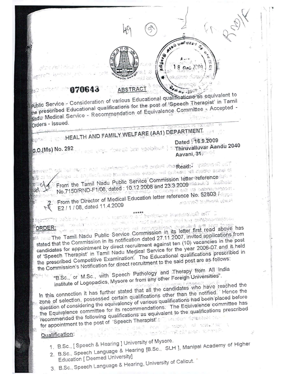

## 870643

public Service - Consideration of various Educational qualifications as equivalent to the prescribed Educational qualifications for the post of 'Speech Therapist' in Tamil Nadu Medical Service - Recommendation of Equivalence Committee - Accepted -Orders - Issued.

# HEALTH AND FAMILY WELFARE (AA1) DEPARTMENT

Dated : 16.9.2009 C.O.(Ms) No. 292 Aavani, 31

benimare kantinaal wit t

ã

E.

ാം സംവിധിക്കുന്നു. കാര്യക്കാര് കാ**റ്റ് മുഖ്**യാണ് ബ് .<br>இந்த பி. சிருமிகளி, அலு **நிலும்பைக்கு ஒன்றி, அளிக்கா நி**க் தொலை வேண் நி From the Tamil Nadu Public Service Commission letter reference No.7150/RND-F1/08, dated: 10.12.2008 and 23.3.2009 stimmed according on the conservation. From the Director of Medical Education letter reference No. 52803 / E2 / 1 / 08, dated 11.4.2009

our is leased to an

na tian el briton na annaphiena comune are legi i The Tamil Nadu Public Service Commission in its letter first read above has stated that the Commission in its notification dated 27.11.2007, invited applications from candidates for appointment by direct recruitment against ten (10) vacancies in the post of 'Speech Therapist' in Tamil Nadu Medical Service for the year 2006-07 and it held the prescribed Competitive Examination. The Educational qualifications prescribed in the Commission's Notification for direct recruitment to the said post are as follows:

the complete the state of the state of the state of the state of the complete that the state of the state of the state of the state of the state of the state of the state of the state of the state of the state of the state

"B.Sc., or M.Sc., with Speech Pathology and Therapy from All India Institute of Logopadics, Mysore or from any other Foreign Universities".

In this connection it has further stated that all the candidates who have reached the zone of selection, possessed certain qualifications other than the notified. Hence the question of considering the equivalency of various qualifications had been placed before the Equivalence committee for its recommendations. The Equivalence committee has recommended the following qualifications as equivalent to the qualifications prescribed for appointment to the post of 'Speech Therapist' and the research the  $\mathcal{C}(\mathcal{P}_n(\mathcal{P}_n^{\mathcal{C}})) = \mathbb{I} \cdot \mathcal{C}(\mathcal{P}_n^{\mathcal{C}} \cdot \mathcal{C}(\mathcal{P}_n^{\mathcal{C}})) \geq \mathcal{C}(\mathcal{P}_n^{\mathcal{C}} \cdot \mathcal{C}(\mathcal{C}^{\mathcal{C}})) \geq \mathcal{C}(\mathcal{C}(\mathcal{C}^{\mathcal{C}}))$ 

## Qualification:

- 
- 1. B.Sc., [Speech & Hearing ] University of Mysore. 2. B.Sc., Speech Language & Hearing [B.Sc., SLH ], Manipal Academy of Higher

 $\sim$  , and  $\geq$  , and  $\sim$  and  $\geq$  and  $\geq$  and  $\sim$  the set  $\geq$ 

Education [ Deemed University]

3. B.Sc., Speech Language & Hearing, University of Calicut.